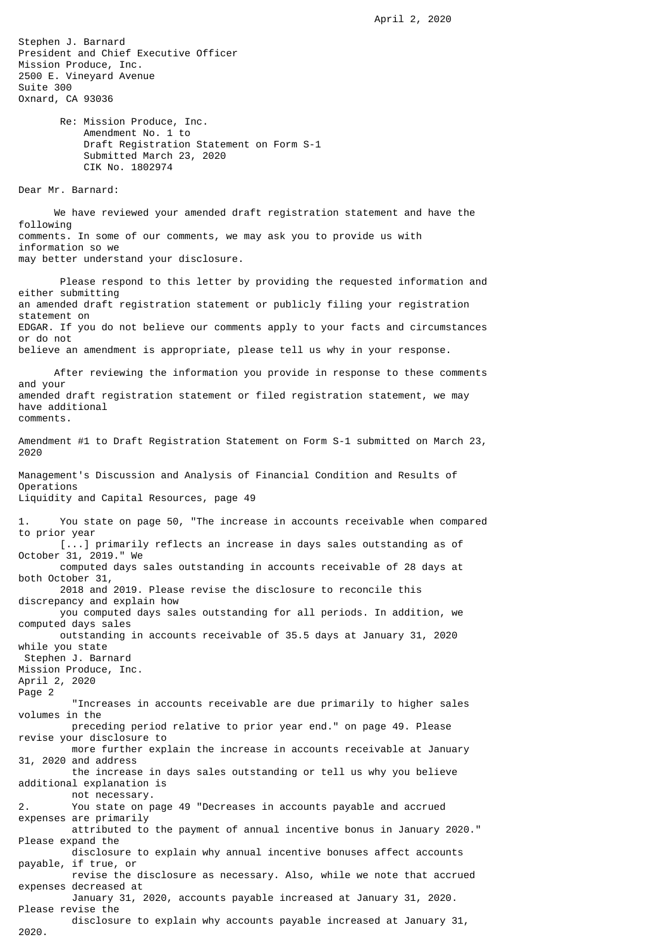Stephen J. Barnard President and Chief Executive Officer Mission Produce, Inc. 2500 E. Vineyard Avenue Suite 300 Oxnard, CA 93036

> Re: Mission Produce, Inc. Amendment No. 1 to Draft Registration Statement on Form S-1 Submitted March 23, 2020 CIK No. 1802974

Dear Mr. Barnard:

 We have reviewed your amended draft registration statement and have the following comments. In some of our comments, we may ask you to provide us with information so we may better understand your disclosure.

 Please respond to this letter by providing the requested information and either submitting an amended draft registration statement or publicly filing your registration statement on EDGAR. If you do not believe our comments apply to your facts and circumstances or do not believe an amendment is appropriate, please tell us why in your response.

 After reviewing the information you provide in response to these comments and your amended draft registration statement or filed registration statement, we may have additional comments.

Amendment #1 to Draft Registration Statement on Form S-1 submitted on March 23, 2020

Management's Discussion and Analysis of Financial Condition and Results of Operations Liquidity and Capital Resources, page 49

You state on page 50, "The increase in accounts receivable when compared to prior year [...] primarily reflects an increase in days sales outstanding as of October 31, 2019." We computed days sales outstanding in accounts receivable of 28 days at both October 31, 2018 and 2019. Please revise the disclosure to reconcile this discrepancy and explain how you computed days sales outstanding for all periods. In addition, we computed days sales outstanding in accounts receivable of 35.5 days at January 31, 2020 while you state Stephen J. Barnard Mission Produce, Inc. April 2, 2020 Page 2 "Increases in accounts receivable are due primarily to higher sales volumes in the preceding period relative to prior year end." on page 49. Please revise your disclosure to more further explain the increase in accounts receivable at January 31, 2020 and address the increase in days sales outstanding or tell us why you believe additional explanation is not necessary. 2. You state on page 49 "Decreases in accounts payable and accrued expenses are primarily attributed to the payment of annual incentive bonus in January 2020." Please expand the disclosure to explain why annual incentive bonuses affect accounts payable, if true, or revise the disclosure as necessary. Also, while we note that accrued expenses decreased at January 31, 2020, accounts payable increased at January 31, 2020. Please revise the disclosure to explain why accounts payable increased at January 31, 2020.